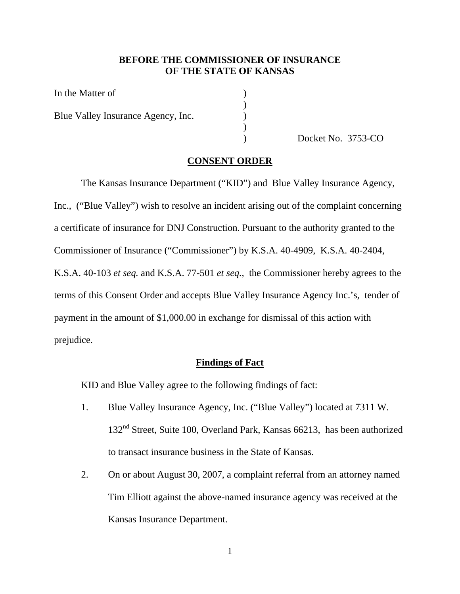### **BEFORE THE COMMISSIONER OF INSURANCE OF THE STATE OF KANSAS**

| In the Matter of                   |  |
|------------------------------------|--|
| Blue Valley Insurance Agency, Inc. |  |

) Docket No. 3753-CO

#### **CONSENT ORDER**

 The Kansas Insurance Department ("KID") and Blue Valley Insurance Agency, Inc., ("Blue Valley") wish to resolve an incident arising out of the complaint concerning a certificate of insurance for DNJ Construction. Pursuant to the authority granted to the Commissioner of Insurance ("Commissioner") by K.S.A. 40-4909, K.S.A. 40-2404, K.S.A. 40-103 *et seq.* and K.S.A. 77-501 *et seq.,* the Commissioner hereby agrees to the terms of this Consent Order and accepts Blue Valley Insurance Agency Inc.'s, tender of payment in the amount of \$1,000.00 in exchange for dismissal of this action with prejudice.

#### **Findings of Fact**

KID and Blue Valley agree to the following findings of fact:

- 1. Blue Valley Insurance Agency, Inc. ("Blue Valley") located at 7311 W. 132<sup>nd</sup> Street, Suite 100, Overland Park, Kansas 66213, has been authorized to transact insurance business in the State of Kansas.
- 2. On or about August 30, 2007, a complaint referral from an attorney named Tim Elliott against the above-named insurance agency was received at the Kansas Insurance Department.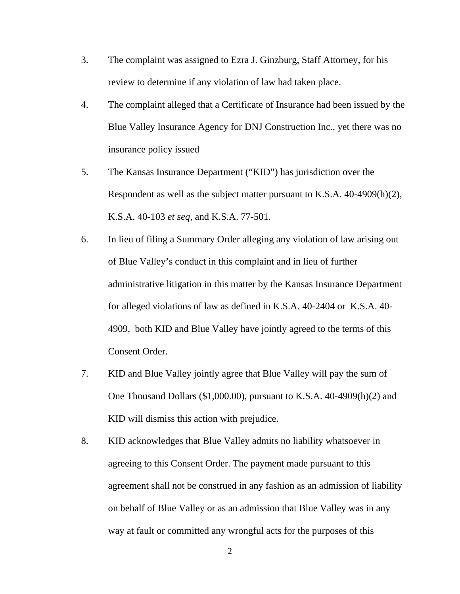- 3. The complaint was assigned to Ezra J. Ginzburg, Staff Attorney, for his review to determine if any violation of law had taken place.
- 4. The complaint alleged that a Certificate of Insurance had been issued by the Blue Valley Insurance Agency for DNJ Construction Inc., yet there was no insurance policy issued
- 5. The Kansas Insurance Department ("KID") has jurisdiction over the Respondent as well as the subject matter pursuant to K.S.A. 40-4909(h)(2), K.S.A. 40-103 *et seq,* and K.S.A. 77-501.
- 6. In lieu of filing a Summary Order alleging any violation of law arising out of Blue Valley's conduct in this complaint and in lieu of further administrative litigation in this matter by the Kansas Insurance Department for alleged violations of law as defined in K.S.A. 40-2404 or K.S.A. 40- 4909, both KID and Blue Valley have jointly agreed to the terms of this Consent Order.
- 7. KID and Blue Valley jointly agree that Blue Valley will pay the sum of One Thousand Dollars (\$1,000.00), pursuant to K.S.A. 40-4909(h)(2) and KID will dismiss this action with prejudice.
- 8. KID acknowledges that Blue Valley admits no liability whatsoever in agreeing to this Consent Order. The payment made pursuant to this agreement shall not be construed in any fashion as an admission of liability on behalf of Blue Valley or as an admission that Blue Valley was in any way at fault or committed any wrongful acts for the purposes of this

2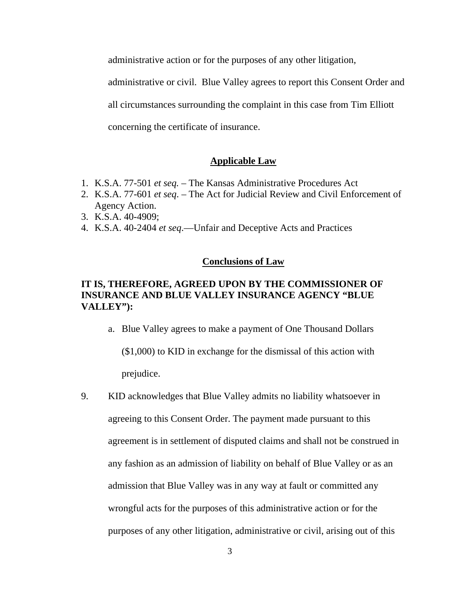administrative action or for the purposes of any other litigation,

administrative or civil. Blue Valley agrees to report this Consent Order and

all circumstances surrounding the complaint in this case from Tim Elliott

concerning the certificate of insurance.

### **Applicable Law**

- 1. K.S.A. 77-501 *et seq.*  The Kansas Administrative Procedures Act
- 2. K.S.A. 77-601 *et seq*. The Act for Judicial Review and Civil Enforcement of Agency Action.
- 3. K.S.A. 40-4909;
- 4. K.S.A. 40-2404 *et seq*.—Unfair and Deceptive Acts and Practices

### **Conclusions of Law**

## **IT IS, THEREFORE, AGREED UPON BY THE COMMISSIONER OF INSURANCE AND BLUE VALLEY INSURANCE AGENCY "BLUE VALLEY"):**

a. Blue Valley agrees to make a payment of One Thousand Dollars (\$1,000) to KID in exchange for the dismissal of this action with prejudice.

9. KID acknowledges that Blue Valley admits no liability whatsoever in agreeing to this Consent Order. The payment made pursuant to this agreement is in settlement of disputed claims and shall not be construed in any fashion as an admission of liability on behalf of Blue Valley or as an admission that Blue Valley was in any way at fault or committed any wrongful acts for the purposes of this administrative action or for the purposes of any other litigation, administrative or civil, arising out of this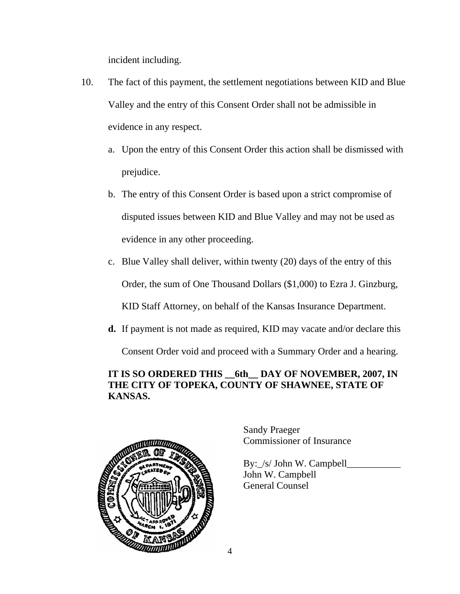incident including.

- 10. The fact of this payment, the settlement negotiations between KID and Blue Valley and the entry of this Consent Order shall not be admissible in evidence in any respect.
	- a. Upon the entry of this Consent Order this action shall be dismissed with prejudice.
	- b. The entry of this Consent Order is based upon a strict compromise of disputed issues between KID and Blue Valley and may not be used as evidence in any other proceeding.
	- c. Blue Valley shall deliver, within twenty (20) days of the entry of this Order, the sum of One Thousand Dollars (\$1,000) to Ezra J. Ginzburg, KID Staff Attorney, on behalf of the Kansas Insurance Department.
	- **d.** If payment is not made as required, KID may vacate and/or declare this

Consent Order void and proceed with a Summary Order and a hearing.

# **IT IS SO ORDERED THIS \_\_6th\_\_ DAY OF NOVEMBER, 2007, IN THE CITY OF TOPEKA, COUNTY OF SHAWNEE, STATE OF KANSAS.**



Sandy Praeger Commissioner of Insurance

By: /s/ John W. Campbell John W. Campbell General Counsel